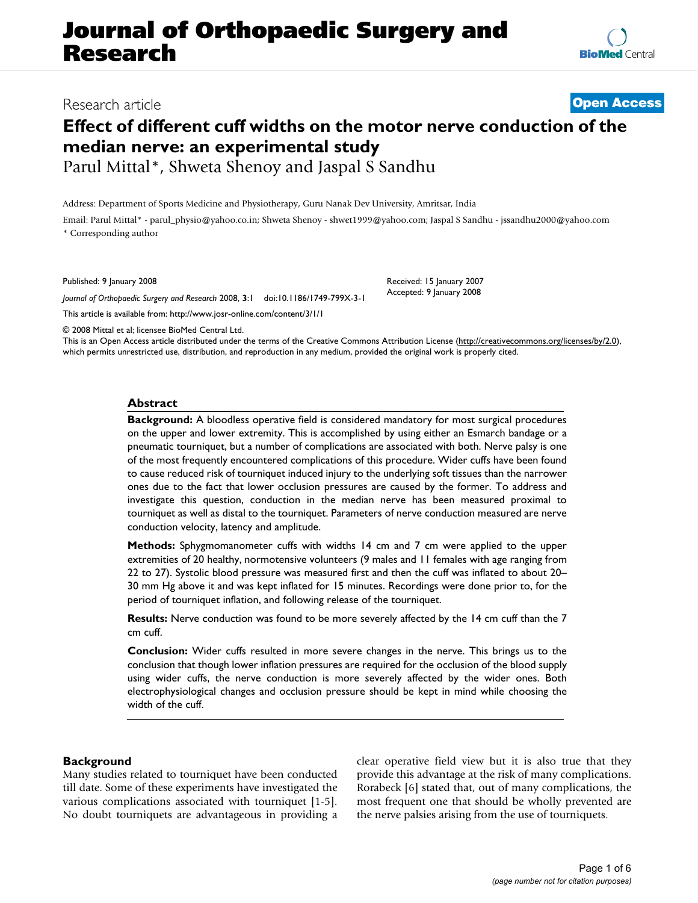# **Journal of Orthopaedic Surgery and Research**

### Research article **[Open Access](http://www.biomedcentral.com/info/about/charter/)**

## **Effect of different cuff widths on the motor nerve conduction of the median nerve: an experimental study** Parul Mittal\*, Shweta Shenoy and Jaspal S Sandhu

Address: Department of Sports Medicine and Physiotherapy, Guru Nanak Dev University, Amritsar, India

Email: Parul Mittal\* - parul\_physio@yahoo.co.in; Shweta Shenoy - shwet1999@yahoo.com; Jaspal S Sandhu - jssandhu2000@yahoo.com \* Corresponding author

Published: 9 January 2008

*Journal of Orthopaedic Surgery and Research* 2008, **3**:1 doi:10.1186/1749-799X-3-1

[This article is available from: http://www.josr-online.com/content/3/1/1](http://www.josr-online.com/content/3/1/1)

© 2008 Mittal et al; licensee BioMed Central Ltd.

This is an Open Access article distributed under the terms of the Creative Commons Attribution License [\(http://creativecommons.org/licenses/by/2.0\)](http://creativecommons.org/licenses/by/2.0), which permits unrestricted use, distribution, and reproduction in any medium, provided the original work is properly cited.

#### **Abstract**

**Background:** A bloodless operative field is considered mandatory for most surgical procedures on the upper and lower extremity. This is accomplished by using either an Esmarch bandage or a pneumatic tourniquet, but a number of complications are associated with both. Nerve palsy is one of the most frequently encountered complications of this procedure. Wider cuffs have been found to cause reduced risk of tourniquet induced injury to the underlying soft tissues than the narrower ones due to the fact that lower occlusion pressures are caused by the former. To address and investigate this question, conduction in the median nerve has been measured proximal to tourniquet as well as distal to the tourniquet. Parameters of nerve conduction measured are nerve conduction velocity, latency and amplitude.

**Methods:** Sphygmomanometer cuffs with widths 14 cm and 7 cm were applied to the upper extremities of 20 healthy, normotensive volunteers (9 males and 11 females with age ranging from 22 to 27). Systolic blood pressure was measured first and then the cuff was inflated to about 20– 30 mm Hg above it and was kept inflated for 15 minutes. Recordings were done prior to, for the period of tourniquet inflation, and following release of the tourniquet.

**Results:** Nerve conduction was found to be more severely affected by the 14 cm cuff than the 7 cm cuff.

**Conclusion:** Wider cuffs resulted in more severe changes in the nerve. This brings us to the conclusion that though lower inflation pressures are required for the occlusion of the blood supply using wider cuffs, the nerve conduction is more severely affected by the wider ones. Both electrophysiological changes and occlusion pressure should be kept in mind while choosing the width of the cuff.

#### **Background**

Many studies related to tourniquet have been conducted till date. Some of these experiments have investigated the various complications associated with tourniquet [1-5]. No doubt tourniquets are advantageous in providing a clear operative field view but it is also true that they provide this advantage at the risk of many complications. Rorabeck [6] stated that, out of many complications, the most frequent one that should be wholly prevented are the nerve palsies arising from the use of tourniquets.

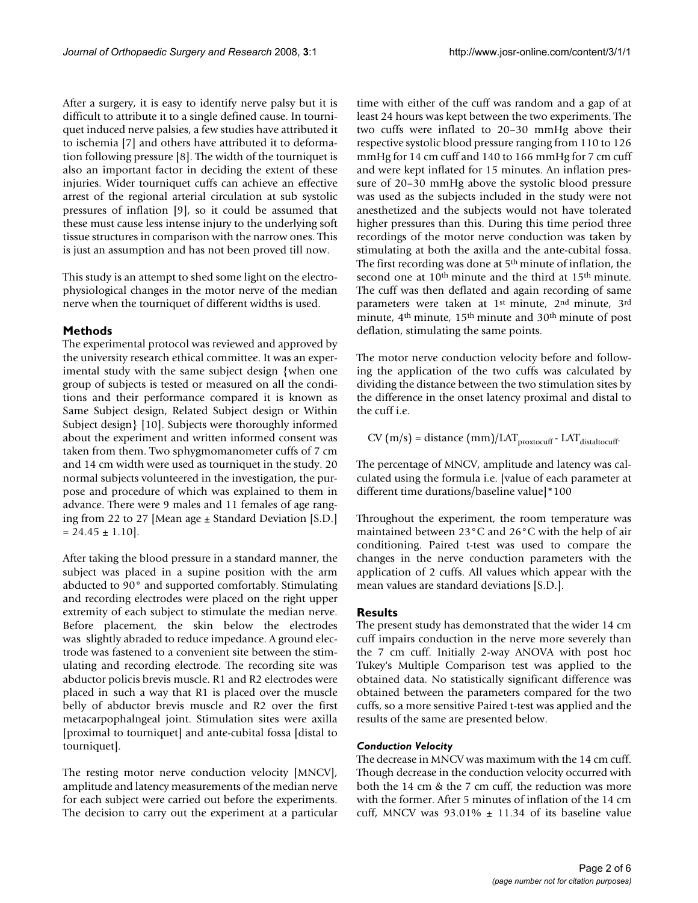After a surgery, it is easy to identify nerve palsy but it is difficult to attribute it to a single defined cause. In tourniquet induced nerve palsies, a few studies have attributed it to ischemia [7] and others have attributed it to deformation following pressure [8]. The width of the tourniquet is also an important factor in deciding the extent of these injuries. Wider tourniquet cuffs can achieve an effective arrest of the regional arterial circulation at sub systolic pressures of inflation [9], so it could be assumed that these must cause less intense injury to the underlying soft tissue structures in comparison with the narrow ones. This is just an assumption and has not been proved till now.

This study is an attempt to shed some light on the electrophysiological changes in the motor nerve of the median nerve when the tourniquet of different widths is used.

#### **Methods**

The experimental protocol was reviewed and approved by the university research ethical committee. It was an experimental study with the same subject design {when one group of subjects is tested or measured on all the conditions and their performance compared it is known as Same Subject design, Related Subject design or Within Subject design} [10]. Subjects were thoroughly informed about the experiment and written informed consent was taken from them. Two sphygmomanometer cuffs of 7 cm and 14 cm width were used as tourniquet in the study. 20 normal subjects volunteered in the investigation, the purpose and procedure of which was explained to them in advance. There were 9 males and 11 females of age ranging from 22 to 27 [Mean age ± Standard Deviation [S.D.]  $= 24.45 \pm 1.10$ .

After taking the blood pressure in a standard manner, the subject was placed in a supine position with the arm abducted to 90° and supported comfortably. Stimulating and recording electrodes were placed on the right upper extremity of each subject to stimulate the median nerve. Before placement, the skin below the electrodes was slightly abraded to reduce impedance. A ground electrode was fastened to a convenient site between the stimulating and recording electrode. The recording site was abductor policis brevis muscle. R1 and R2 electrodes were placed in such a way that R1 is placed over the muscle belly of abductor brevis muscle and R2 over the first metacarpophalngeal joint. Stimulation sites were axilla [proximal to tourniquet] and ante-cubital fossa [distal to tourniquet].

The resting motor nerve conduction velocity [MNCV], amplitude and latency measurements of the median nerve for each subject were carried out before the experiments. The decision to carry out the experiment at a particular time with either of the cuff was random and a gap of at least 24 hours was kept between the two experiments. The two cuffs were inflated to 20–30 mmHg above their respective systolic blood pressure ranging from 110 to 126 mmHg for 14 cm cuff and 140 to 166 mmHg for 7 cm cuff and were kept inflated for 15 minutes. An inflation pressure of 20–30 mmHg above the systolic blood pressure was used as the subjects included in the study were not anesthetized and the subjects would not have tolerated higher pressures than this. During this time period three recordings of the motor nerve conduction was taken by stimulating at both the axilla and the ante-cubital fossa. The first recording was done at 5th minute of inflation, the second one at 10<sup>th</sup> minute and the third at 15<sup>th</sup> minute. The cuff was then deflated and again recording of same parameters were taken at 1st minute, 2nd minute, 3rd minute,  $4<sup>th</sup>$  minute,  $15<sup>th</sup>$  minute and  $30<sup>th</sup>$  minute of post deflation, stimulating the same points.

The motor nerve conduction velocity before and following the application of the two cuffs was calculated by dividing the distance between the two stimulation sites by the difference in the onset latency proximal and distal to the cuff i.e.

 $CV(m/s) = distance (mm)/LAT_{proxtocuff}$ - LAT<sub>distaltocuff</sub>.

The percentage of MNCV, amplitude and latency was calculated using the formula i.e. [value of each parameter at different time durations/baseline value]\*100

Throughout the experiment, the room temperature was maintained between 23°C and 26°C with the help of air conditioning. Paired t-test was used to compare the changes in the nerve conduction parameters with the application of 2 cuffs. All values which appear with the mean values are standard deviations [S.D.].

#### **Results**

The present study has demonstrated that the wider 14 cm cuff impairs conduction in the nerve more severely than the 7 cm cuff. Initially 2-way ANOVA with post hoc Tukey's Multiple Comparison test was applied to the obtained data. No statistically significant difference was obtained between the parameters compared for the two cuffs, so a more sensitive Paired t-test was applied and the results of the same are presented below.

#### *Conduction Velocity*

The decrease in MNCV was maximum with the 14 cm cuff. Though decrease in the conduction velocity occurred with both the 14 cm & the 7 cm cuff, the reduction was more with the former. After 5 minutes of inflation of the 14 cm cuff, MNCV was  $93.01\% \pm 11.34$  of its baseline value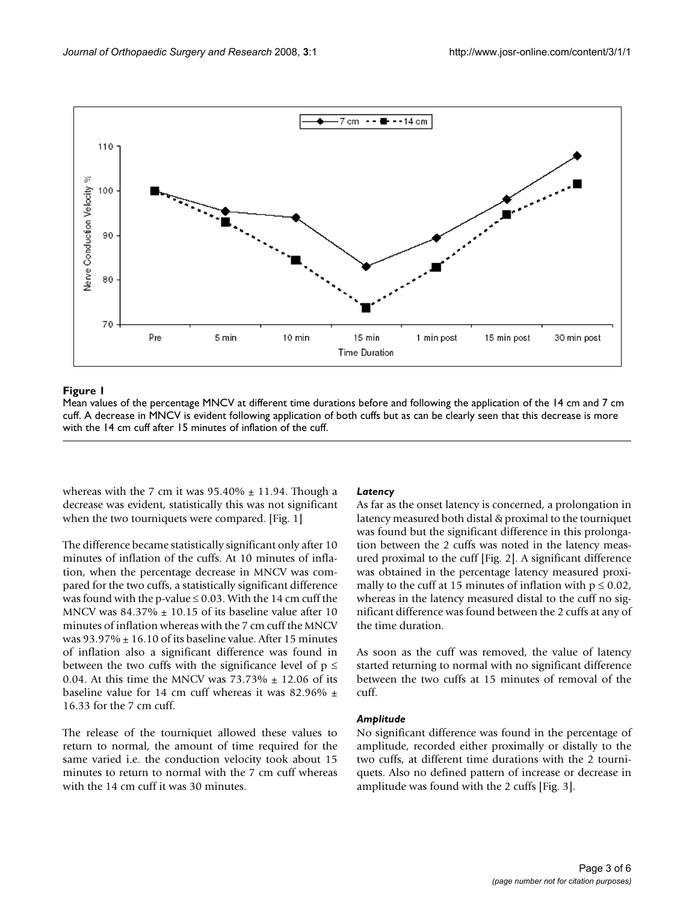

#### Mean values of the percentage MNCV at di cuff **Figure 1** fferent time durations before and following the application of the 14 cm and 7 cm

Mean values of the percentage MNCV at different time durations before and following the application of the 14 cm and 7 cm cuff. A decrease in MNCV is evident following application of both cuffs but as can be clearly seen that this decrease is more with the 14 cm cuff after 15 minutes of inflation of the cuff.

whereas with the 7 cm it was  $95.40\% \pm 11.94$ . Though a decrease was evident, statistically this was not significant when the two tourniquets were compared. [Fig. 1]

The difference became statistically significant only after 10 minutes of inflation of the cuffs. At 10 minutes of inflation, when the percentage decrease in MNCV was compared for the two cuffs, a statistically significant difference was found with the p-value  $\leq$  0.03. With the 14 cm cuff the MNCV was  $84.37\% \pm 10.15$  of its baseline value after 10 minutes of inflation whereas with the 7 cm cuff the MNCV was  $93.97\% \pm 16.10$  of its baseline value. After 15 minutes of inflation also a significant difference was found in between the two cuffs with the significance level of  $p \leq$ 0.04. At this time the MNCV was  $73.73\% \pm 12.06$  of its baseline value for 14 cm cuff whereas it was 82.96%  $\pm$ 16.33 for the 7 cm cuff.

The release of the tourniquet allowed these values to return to normal, the amount of time required for the same varied i.e. the conduction velocity took about 15 minutes to return to normal with the 7 cm cuff whereas with the 14 cm cuff it was 30 minutes.

#### *Latency*

As far as the onset latency is concerned, a prolongation in latency measured both distal & proximal to the tourniquet was found but the significant difference in this prolongation between the 2 cuffs was noted in the latency measured proximal to the cuff [Fig. 2]. A significant difference was obtained in the percentage latency measured proximally to the cuff at 15 minutes of inflation with  $p \le 0.02$ , whereas in the latency measured distal to the cuff no significant difference was found between the 2 cuffs at any of the time duration.

As soon as the cuff was removed, the value of latency started returning to normal with no significant difference between the two cuffs at 15 minutes of removal of the cuff.

#### *Amplitude*

No significant difference was found in the percentage of amplitude, recorded either proximally or distally to the two cuffs, at different time durations with the 2 tourniquets. Also no defined pattern of increase or decrease in amplitude was found with the 2 cuffs [Fig. 3].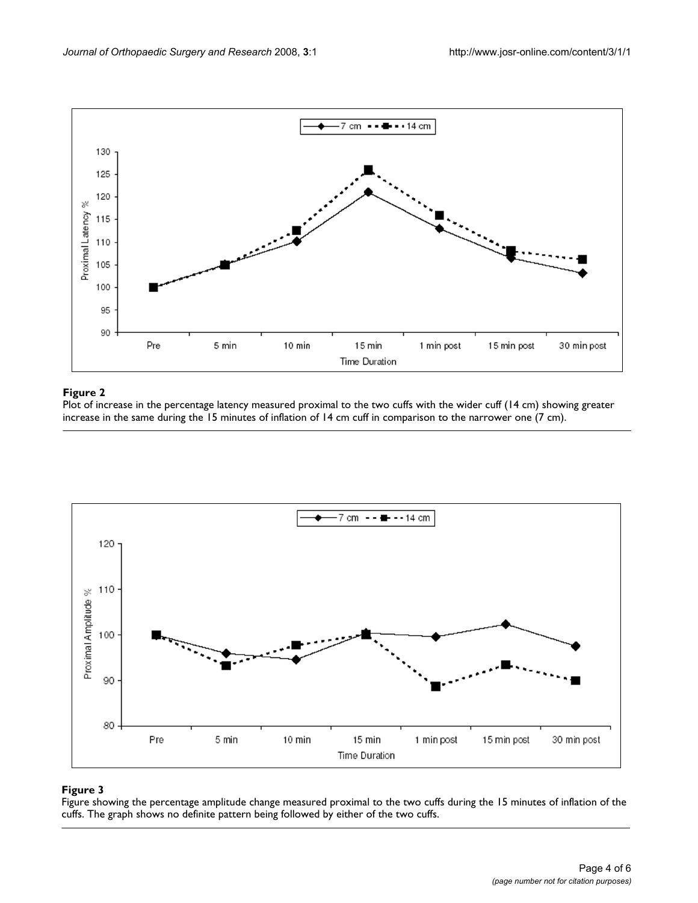

#### Figure 2 and 2008 and 2008 and 2008 and 2008 and 2008 and 2008 and 2008 and 2008 and 2008 and 2008 and 2008 an

Plot of increase in the percentage latency measured proximal to the two cuffs with the wider cuff (14 cm) showing greater increase in the same during the 15 minutes of inflation of 14 cm cuff in comparison to the narrower one (7 cm).



#### cuffs **Figure 3** Figure showing the percentage amplitude change measured proximal to the two cuffs during the 15 minutes of inflation of the

Figure showing the percentage amplitude change measured proximal to the two cuffs during the 15 minutes of inflation of the cuffs. The graph shows no definite pattern being followed by either of the two cuffs.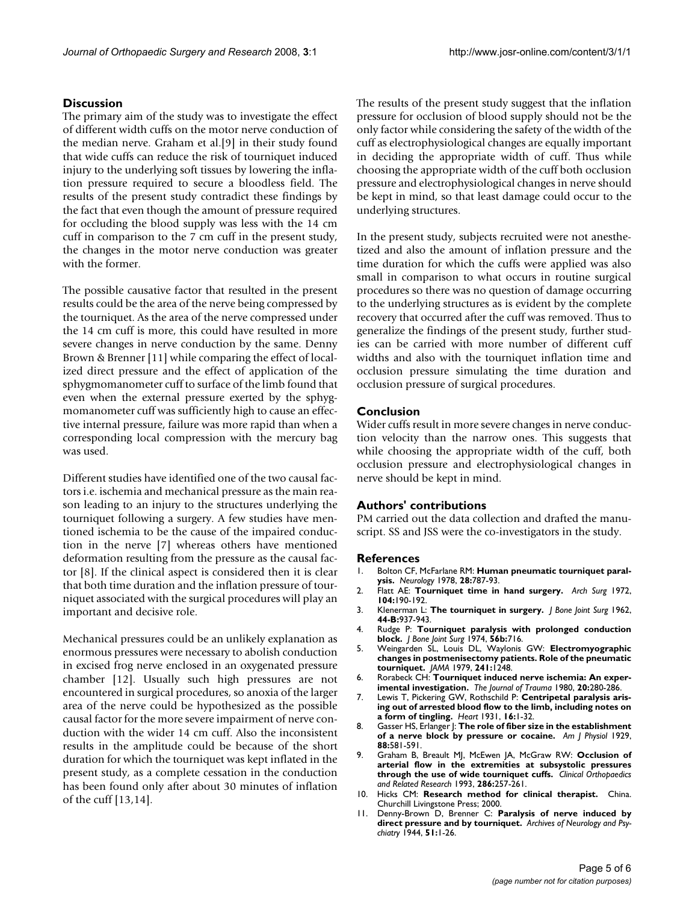#### **Discussion**

The primary aim of the study was to investigate the effect of different width cuffs on the motor nerve conduction of the median nerve. Graham et al.[9] in their study found that wide cuffs can reduce the risk of tourniquet induced injury to the underlying soft tissues by lowering the inflation pressure required to secure a bloodless field. The results of the present study contradict these findings by the fact that even though the amount of pressure required for occluding the blood supply was less with the 14 cm cuff in comparison to the 7 cm cuff in the present study, the changes in the motor nerve conduction was greater with the former.

The possible causative factor that resulted in the present results could be the area of the nerve being compressed by the tourniquet. As the area of the nerve compressed under the 14 cm cuff is more, this could have resulted in more severe changes in nerve conduction by the same. Denny Brown & Brenner [11] while comparing the effect of localized direct pressure and the effect of application of the sphygmomanometer cuff to surface of the limb found that even when the external pressure exerted by the sphygmomanometer cuff was sufficiently high to cause an effective internal pressure, failure was more rapid than when a corresponding local compression with the mercury bag was used.

Different studies have identified one of the two causal factors i.e. ischemia and mechanical pressure as the main reason leading to an injury to the structures underlying the tourniquet following a surgery. A few studies have mentioned ischemia to be the cause of the impaired conduction in the nerve [7] whereas others have mentioned deformation resulting from the pressure as the causal factor [8]. If the clinical aspect is considered then it is clear that both time duration and the inflation pressure of tourniquet associated with the surgical procedures will play an important and decisive role.

Mechanical pressures could be an unlikely explanation as enormous pressures were necessary to abolish conduction in excised frog nerve enclosed in an oxygenated pressure chamber [12]. Usually such high pressures are not encountered in surgical procedures, so anoxia of the larger area of the nerve could be hypothesized as the possible causal factor for the more severe impairment of nerve conduction with the wider 14 cm cuff. Also the inconsistent results in the amplitude could be because of the short duration for which the tourniquet was kept inflated in the present study, as a complete cessation in the conduction has been found only after about 30 minutes of inflation of the cuff [13,14].

The results of the present study suggest that the inflation pressure for occlusion of blood supply should not be the only factor while considering the safety of the width of the cuff as electrophysiological changes are equally important in deciding the appropriate width of cuff. Thus while choosing the appropriate width of the cuff both occlusion pressure and electrophysiological changes in nerve should be kept in mind, so that least damage could occur to the underlying structures.

In the present study, subjects recruited were not anesthetized and also the amount of inflation pressure and the time duration for which the cuffs were applied was also small in comparison to what occurs in routine surgical procedures so there was no question of damage occurring to the underlying structures as is evident by the complete recovery that occurred after the cuff was removed. Thus to generalize the findings of the present study, further studies can be carried with more number of different cuff widths and also with the tourniquet inflation time and occlusion pressure simulating the time duration and occlusion pressure of surgical procedures.

#### **Conclusion**

Wider cuffs result in more severe changes in nerve conduction velocity than the narrow ones. This suggests that while choosing the appropriate width of the cuff, both occlusion pressure and electrophysiological changes in nerve should be kept in mind.

#### **Authors' contributions**

PM carried out the data collection and drafted the manuscript. SS and JSS were the co-investigators in the study.

#### **References**

- 1. Bolton CF, McFarlane RM: **[Human pneumatic tourniquet paral](http://www.ncbi.nlm.nih.gov/entrez/query.fcgi?cmd=Retrieve&db=PubMed&dopt=Abstract&list_uids=567296)[ysis.](http://www.ncbi.nlm.nih.gov/entrez/query.fcgi?cmd=Retrieve&db=PubMed&dopt=Abstract&list_uids=567296)** *Neurology* 1978, **28:**787-93.
- 2. Flatt AE: **[Tourniquet time in hand surgery.](http://www.ncbi.nlm.nih.gov/entrez/query.fcgi?cmd=Retrieve&db=PubMed&dopt=Abstract&list_uids=5008912)** *Arch Surg* 1972, **104:**190-192.
- 3. Klenerman L: **The tourniquet in surgery.** *J Bone Joint Surg* 1962, **44-B:**937-943.
- 4. Rudge P: **Tourniquet paralysis with prolonged conduction block.** *J Bone Joint Surg* 1974, **56b:**716.
- 5. Weingarden SL, Louis DL, Waylonis GW: **[Electromyographic](http://www.ncbi.nlm.nih.gov/entrez/query.fcgi?cmd=Retrieve&db=PubMed&dopt=Abstract&list_uids=581679) [changes in postmenisectomy patients. Role of the pneumatic](http://www.ncbi.nlm.nih.gov/entrez/query.fcgi?cmd=Retrieve&db=PubMed&dopt=Abstract&list_uids=581679) [tourniquet.](http://www.ncbi.nlm.nih.gov/entrez/query.fcgi?cmd=Retrieve&db=PubMed&dopt=Abstract&list_uids=581679)** *JAMA* 1979, **241:**1248.
- 6. Rorabeck CH: **[Tourniquet induced nerve ischemia: An exper](http://www.ncbi.nlm.nih.gov/entrez/query.fcgi?cmd=Retrieve&db=PubMed&dopt=Abstract&list_uids=6767855)[imental investigation.](http://www.ncbi.nlm.nih.gov/entrez/query.fcgi?cmd=Retrieve&db=PubMed&dopt=Abstract&list_uids=6767855)** *The Journal of Trauma* 1980, **20:**280-286.
- 7. Lewis T, Pickering GW, Rothschild P: **Centripetal paralysis arising out of arrested blood flow to the limb, including notes on a form of tingling.** *Heart* 1931, **16:**1-32.
- 8. Gasser HS, Erlanger J: **The role of fiber size in the establishment of a nerve block by pressure or cocaine.** *Am J Physiol* 1929, **88:**581-591.
- 9. Graham B, Breault MJ, McEwen JA, McGraw RW: **Occlusion of arterial flow in the extremities at subsystolic pressures through the use of wide tourniquet cuffs.** *Clinical Orthopaedics and Related Research* 1993, **286:**257-261.
- 10. Hicks CM: **Research method for clinical therapist.** China. Churchill Livingstone Press; 2000.
- 11. Denny-Brown D, Brenner C: **Paralysis of nerve induced by direct pressure and by tourniquet.** *Archives of Neurology and Psychiatry* 1944, **51:**1-26.